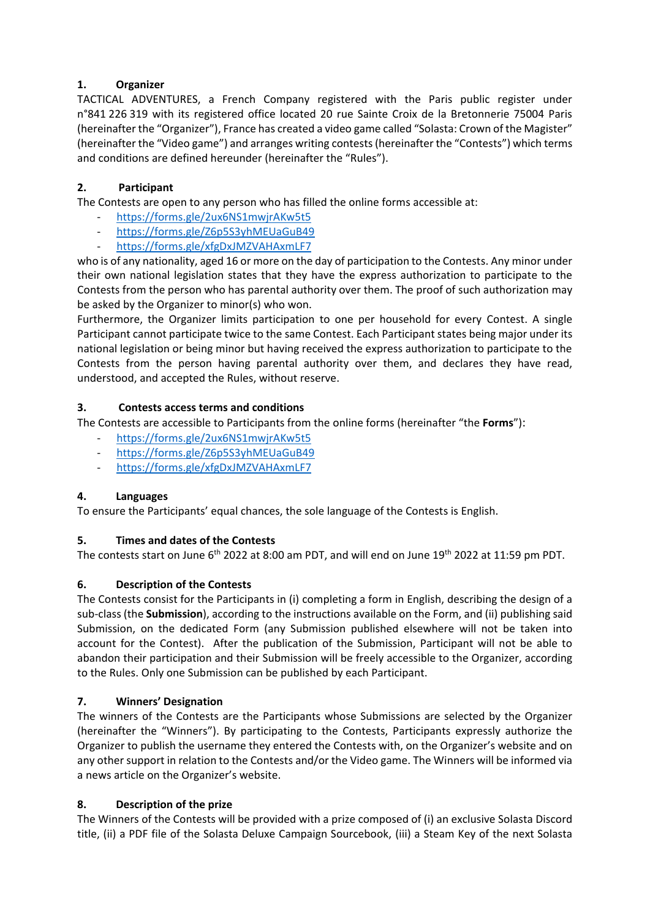# **1. Organizer**

TACTICAL ADVENTURES, a French Company registered with the Paris public register under n°841 226 319 with its registered office located 20 rue Sainte Croix de la Bretonnerie 75004 Paris (hereinafter the "Organizer"), France has created a video game called "Solasta: Crown of the Magister" (hereinafter the "Video game") and arranges writing contests(hereinafter the "Contests") which terms and conditions are defined hereunder (hereinafter the "Rules").

# **2. Participant**

The Contests are open to any person who has filled the online forms accessible at:

- <https://forms.gle/2ux6NS1mwjrAKw5t5>
- <https://forms.gle/Z6p5S3yhMEUaGuB49>
- <https://forms.gle/xfgDxJMZVAHAxmLF7>

who is of any nationality, aged 16 or more on the day of participation to the Contests. Any minor under their own national legislation states that they have the express authorization to participate to the Contests from the person who has parental authority over them. The proof of such authorization may be asked by the Organizer to minor(s) who won.

Furthermore, the Organizer limits participation to one per household for every Contest. A single Participant cannot participate twice to the same Contest. Each Participant states being major under its national legislation or being minor but having received the express authorization to participate to the Contests from the person having parental authority over them, and declares they have read, understood, and accepted the Rules, without reserve.

### **3. Contests access terms and conditions**

The Contests are accessible to Participants from the online forms (hereinafter "the **Forms**"):

- <https://forms.gle/2ux6NS1mwjrAKw5t5>
- <https://forms.gle/Z6p5S3yhMEUaGuB49>
- <https://forms.gle/xfgDxJMZVAHAxmLF7>

### **4. Languages**

To ensure the Participants' equal chances, the sole language of the Contests is English.

### **5. Times and dates of the Contests**

The contests start on June 6<sup>th</sup> 2022 at 8:00 am PDT, and will end on June 19<sup>th</sup> 2022 at 11:59 pm PDT.

### **6. Description of the Contests**

The Contests consist for the Participants in (i) completing a form in English, describing the design of a sub-class (the **Submission**), according to the instructions available on the Form, and (ii) publishing said Submission, on the dedicated Form (any Submission published elsewhere will not be taken into account for the Contest). After the publication of the Submission, Participant will not be able to abandon their participation and their Submission will be freely accessible to the Organizer, according to the Rules. Only one Submission can be published by each Participant.

### **7. Winners' Designation**

The winners of the Contests are the Participants whose Submissions are selected by the Organizer (hereinafter the "Winners"). By participating to the Contests, Participants expressly authorize the Organizer to publish the username they entered the Contests with, on the Organizer's website and on any other support in relation to the Contests and/or the Video game. The Winners will be informed via a news article on the Organizer's website.

### **8. Description of the prize**

The Winners of the Contests will be provided with a prize composed of (i) an exclusive Solasta Discord title, (ii) a PDF file of the Solasta Deluxe Campaign Sourcebook, (iii) a Steam Key of the next Solasta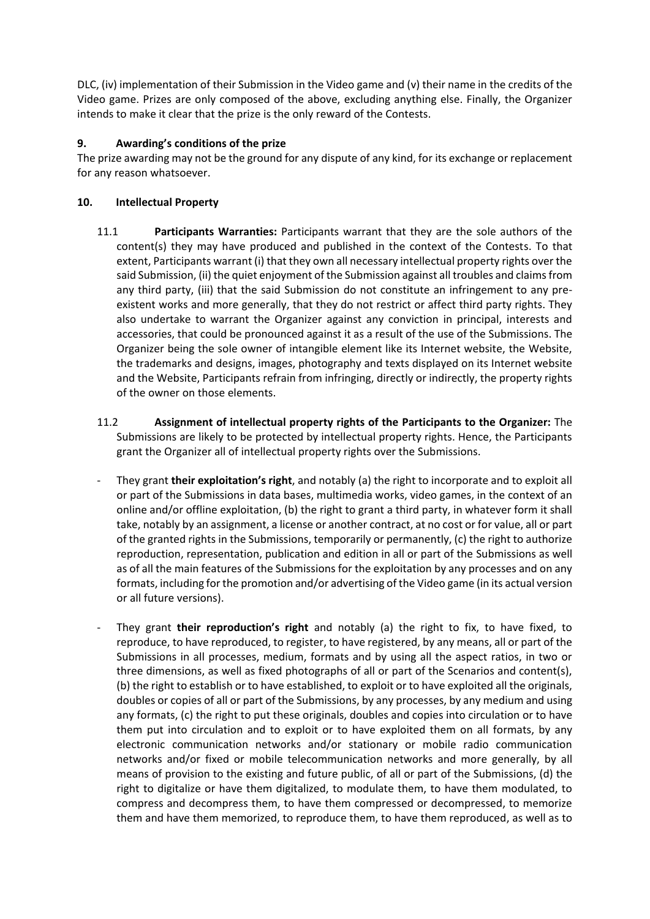DLC, (iv) implementation of their Submission in the Video game and (v) their name in the credits of the Video game. Prizes are only composed of the above, excluding anything else. Finally, the Organizer intends to make it clear that the prize is the only reward of the Contests.

# **9. Awarding's conditions of the prize**

The prize awarding may not be the ground for any dispute of any kind, for its exchange or replacement for any reason whatsoever.

## **10. Intellectual Property**

- 11.1 **Participants Warranties:** Participants warrant that they are the sole authors of the content(s) they may have produced and published in the context of the Contests. To that extent, Participants warrant (i) that they own all necessary intellectual property rights over the said Submission, (ii) the quiet enjoyment of the Submission against all troubles and claims from any third party, (iii) that the said Submission do not constitute an infringement to any preexistent works and more generally, that they do not restrict or affect third party rights. They also undertake to warrant the Organizer against any conviction in principal, interests and accessories, that could be pronounced against it as a result of the use of the Submissions. The Organizer being the sole owner of intangible element like its Internet website, the Website, the trademarks and designs, images, photography and texts displayed on its Internet website and the Website, Participants refrain from infringing, directly or indirectly, the property rights of the owner on those elements.
- 11.2 **Assignment of intellectual property rights of the Participants to the Organizer:** The Submissions are likely to be protected by intellectual property rights. Hence, the Participants grant the Organizer all of intellectual property rights over the Submissions.
- They grant **their exploitation's right**, and notably (a) the right to incorporate and to exploit all or part of the Submissions in data bases, multimedia works, video games, in the context of an online and/or offline exploitation, (b) the right to grant a third party, in whatever form it shall take, notably by an assignment, a license or another contract, at no cost or for value, all or part of the granted rights in the Submissions, temporarily or permanently, (c) the right to authorize reproduction, representation, publication and edition in all or part of the Submissions as well as of all the main features of the Submissions for the exploitation by any processes and on any formats, including for the promotion and/or advertising of the Video game (in its actual version or all future versions).
- They grant **their reproduction's right** and notably (a) the right to fix, to have fixed, to reproduce, to have reproduced, to register, to have registered, by any means, all or part of the Submissions in all processes, medium, formats and by using all the aspect ratios, in two or three dimensions, as well as fixed photographs of all or part of the Scenarios and content(s), (b) the right to establish or to have established, to exploit or to have exploited all the originals, doubles or copies of all or part of the Submissions, by any processes, by any medium and using any formats, (c) the right to put these originals, doubles and copies into circulation or to have them put into circulation and to exploit or to have exploited them on all formats, by any electronic communication networks and/or stationary or mobile radio communication networks and/or fixed or mobile telecommunication networks and more generally, by all means of provision to the existing and future public, of all or part of the Submissions, (d) the right to digitalize or have them digitalized, to modulate them, to have them modulated, to compress and decompress them, to have them compressed or decompressed, to memorize them and have them memorized, to reproduce them, to have them reproduced, as well as to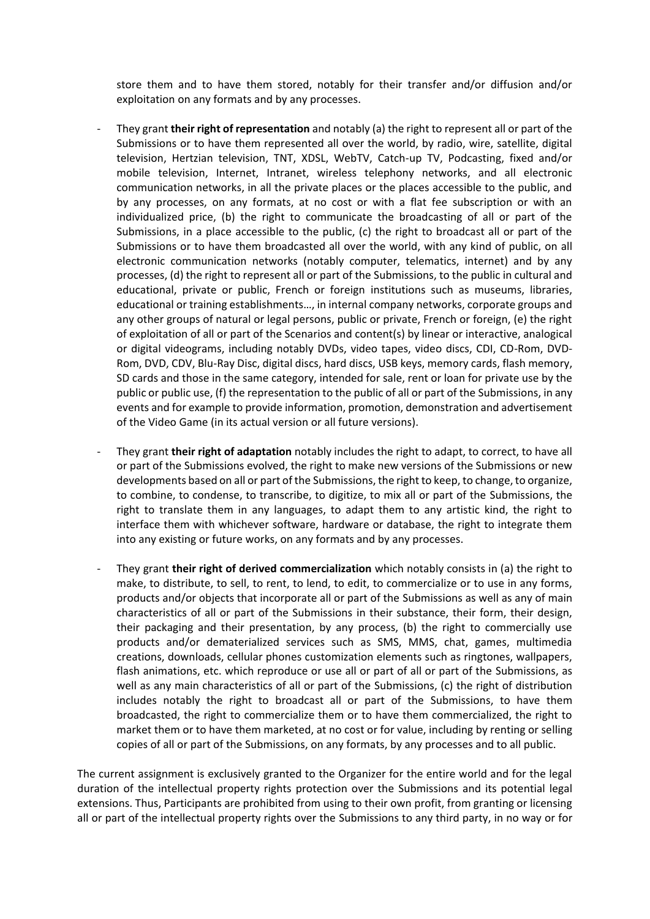store them and to have them stored, notably for their transfer and/or diffusion and/or exploitation on any formats and by any processes.

- They grant **their right of representation** and notably (a) the right to represent all or part of the Submissions or to have them represented all over the world, by radio, wire, satellite, digital television, Hertzian television, TNT, XDSL, WebTV, Catch-up TV, Podcasting, fixed and/or mobile television, Internet, Intranet, wireless telephony networks, and all electronic communication networks, in all the private places or the places accessible to the public, and by any processes, on any formats, at no cost or with a flat fee subscription or with an individualized price, (b) the right to communicate the broadcasting of all or part of the Submissions, in a place accessible to the public, (c) the right to broadcast all or part of the Submissions or to have them broadcasted all over the world, with any kind of public, on all electronic communication networks (notably computer, telematics, internet) and by any processes, (d) the right to represent all or part of the Submissions, to the public in cultural and educational, private or public, French or foreign institutions such as museums, libraries, educational or training establishments…, in internal company networks, corporate groups and any other groups of natural or legal persons, public or private, French or foreign, (e) the right of exploitation of all or part of the Scenarios and content(s) by linear or interactive, analogical or digital videograms, including notably DVDs, video tapes, video discs, CDI, CD-Rom, DVD-Rom, DVD, CDV, Blu-Ray Disc, digital discs, hard discs, USB keys, memory cards, flash memory, SD cards and those in the same category, intended for sale, rent or loan for private use by the public or public use, (f) the representation to the public of all or part of the Submissions, in any events and for example to provide information, promotion, demonstration and advertisement of the Video Game (in its actual version or all future versions).
- They grant **their right of adaptation** notably includes the right to adapt, to correct, to have all or part of the Submissions evolved, the right to make new versions of the Submissions or new developments based on all or part of the Submissions, the right to keep, to change, to organize, to combine, to condense, to transcribe, to digitize, to mix all or part of the Submissions, the right to translate them in any languages, to adapt them to any artistic kind, the right to interface them with whichever software, hardware or database, the right to integrate them into any existing or future works, on any formats and by any processes.
- They grant **their right of derived commercialization** which notably consists in (a) the right to make, to distribute, to sell, to rent, to lend, to edit, to commercialize or to use in any forms, products and/or objects that incorporate all or part of the Submissions as well as any of main characteristics of all or part of the Submissions in their substance, their form, their design, their packaging and their presentation, by any process, (b) the right to commercially use products and/or dematerialized services such as SMS, MMS, chat, games, multimedia creations, downloads, cellular phones customization elements such as ringtones, wallpapers, flash animations, etc. which reproduce or use all or part of all or part of the Submissions, as well as any main characteristics of all or part of the Submissions, (c) the right of distribution includes notably the right to broadcast all or part of the Submissions, to have them broadcasted, the right to commercialize them or to have them commercialized, the right to market them or to have them marketed, at no cost or for value, including by renting or selling copies of all or part of the Submissions, on any formats, by any processes and to all public.

The current assignment is exclusively granted to the Organizer for the entire world and for the legal duration of the intellectual property rights protection over the Submissions and its potential legal extensions. Thus, Participants are prohibited from using to their own profit, from granting or licensing all or part of the intellectual property rights over the Submissions to any third party, in no way or for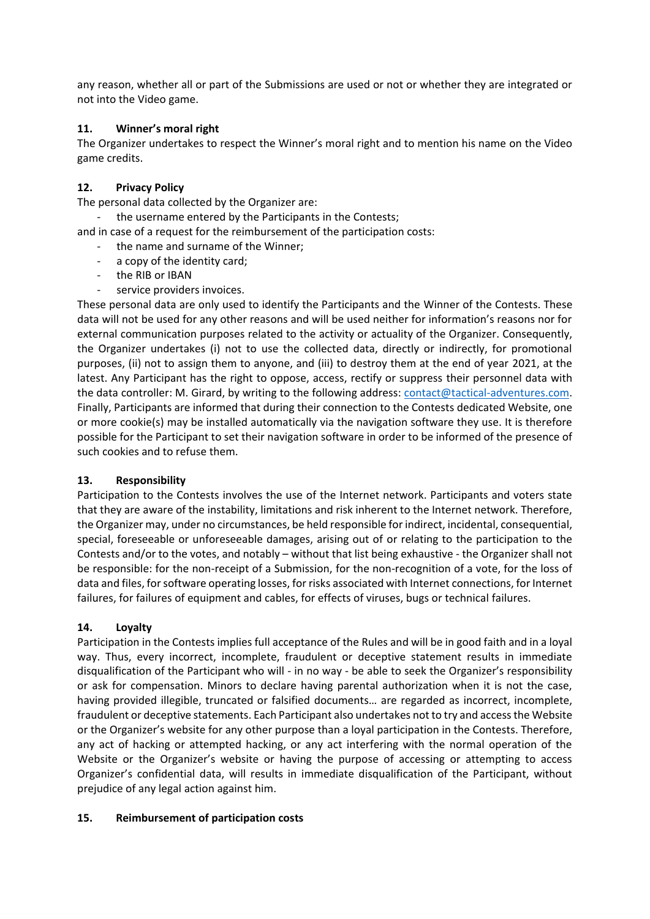any reason, whether all or part of the Submissions are used or not or whether they are integrated or not into the Video game.

## **11. Winner's moral right**

The Organizer undertakes to respect the Winner's moral right and to mention his name on the Video game credits.

## **12. Privacy Policy**

The personal data collected by the Organizer are:

- the username entered by the Participants in the Contests;
- and in case of a request for the reimbursement of the participation costs:
	- the name and surname of the Winner;
	- a copy of the identity card:
	- the RIB or IBAN
	- service providers invoices.

These personal data are only used to identify the Participants and the Winner of the Contests. These data will not be used for any other reasons and will be used neither for information's reasons nor for external communication purposes related to the activity or actuality of the Organizer. Consequently, the Organizer undertakes (i) not to use the collected data, directly or indirectly, for promotional purposes, (ii) not to assign them to anyone, and (iii) to destroy them at the end of year 2021, at the latest. Any Participant has the right to oppose, access, rectify or suppress their personnel data with the data controller: M. Girard, by writing to the following address: [contact@tactical-adventures.com.](mailto:contact@tactical-adventures.com) Finally, Participants are informed that during their connection to the Contests dedicated Website, one or more cookie(s) may be installed automatically via the navigation software they use. It is therefore possible for the Participant to set their navigation software in order to be informed of the presence of such cookies and to refuse them.

### **13. Responsibility**

Participation to the Contests involves the use of the Internet network. Participants and voters state that they are aware of the instability, limitations and risk inherent to the Internet network. Therefore, the Organizer may, under no circumstances, be held responsible for indirect, incidental, consequential, special, foreseeable or unforeseeable damages, arising out of or relating to the participation to the Contests and/or to the votes, and notably – without that list being exhaustive - the Organizer shall not be responsible: for the non-receipt of a Submission, for the non-recognition of a vote, for the loss of data and files, for software operating losses, for risks associated with Internet connections, for Internet failures, for failures of equipment and cables, for effects of viruses, bugs or technical failures.

### **14. Loyalty**

Participation in the Contests implies full acceptance of the Rules and will be in good faith and in a loyal way. Thus, every incorrect, incomplete, fraudulent or deceptive statement results in immediate disqualification of the Participant who will - in no way - be able to seek the Organizer's responsibility or ask for compensation. Minors to declare having parental authorization when it is not the case, having provided illegible, truncated or falsified documents… are regarded as incorrect, incomplete, fraudulent or deceptive statements. Each Participant also undertakes not to try and access the Website or the Organizer's website for any other purpose than a loyal participation in the Contests. Therefore, any act of hacking or attempted hacking, or any act interfering with the normal operation of the Website or the Organizer's website or having the purpose of accessing or attempting to access Organizer's confidential data, will results in immediate disqualification of the Participant, without prejudice of any legal action against him.

### **15. Reimbursement of participation costs**